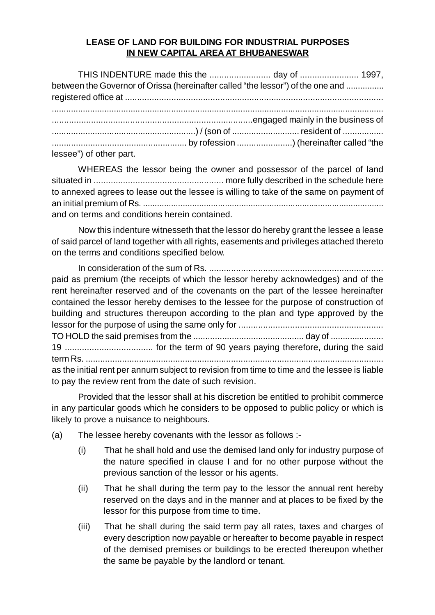## **LEASE OF LAND FOR BUILDING FOR INDUSTRIAL PURPOSES IN NEW CAPITAL AREA AT BHUBANESWAR**

| THIS INDENTURE made this the day of  1997,                                      |  |  |
|---------------------------------------------------------------------------------|--|--|
| between the Governor of Orissa (hereinafter called "the lessor") of the one and |  |  |
|                                                                                 |  |  |
|                                                                                 |  |  |
|                                                                                 |  |  |
|                                                                                 |  |  |
| lessee") of other part.                                                         |  |  |

WHEREAS the lessor being the owner and possessor of the parcel of land situated in ..................................................... more fully described in the schedule here to annexed agrees to lease out the lessee is willing to take of the same on payment of an initial premium of Rs. ....................................................................................................... and on terms and conditions herein contained.

Now this indenture witnesseth that the lessor do hereby grant the lessee a lease of said parcel of land together with all rights, easements and privileges attached thereto on the terms and conditions specified below.

In consideration of the sum of Rs. ....................................................................... paid as premium (the receipts of which the lessor hereby acknowledges) and of the rent hereinafter reserved and of the covenants on the part of the lessee hereinafter contained the lessor hereby demises to the lessee for the purpose of construction of building and structures thereupon according to the plan and type approved by the lessor for the purpose of using the same only for ........................................................... TO HOLD the said premises from the .............................................. day of ...................... 19 .................................... for the term of 90 years paying therefore, during the said term Rs. ........................................................................................................................... as the initial rent per annum subject to revision from time to time and the lessee is liable to pay the review rent from the date of such revision.

Provided that the lessor shall at his discretion be entitled to prohibit commerce in any particular goods which he considers to be opposed to public policy or which is likely to prove a nuisance to neighbours.

- (a) The lessee hereby covenants with the lessor as follows :-
	- (i) That he shall hold and use the demised land only for industry purpose of the nature specified in clause I and for no other purpose without the previous sanction of the lessor or his agents.
	- (ii) That he shall during the term pay to the lessor the annual rent hereby reserved on the days and in the manner and at places to be fixed by the lessor for this purpose from time to time.
	- (iii) That he shall during the said term pay all rates, taxes and charges of every description now payable or hereafter to become payable in respect of the demised premises or buildings to be erected thereupon whether the same be payable by the landlord or tenant.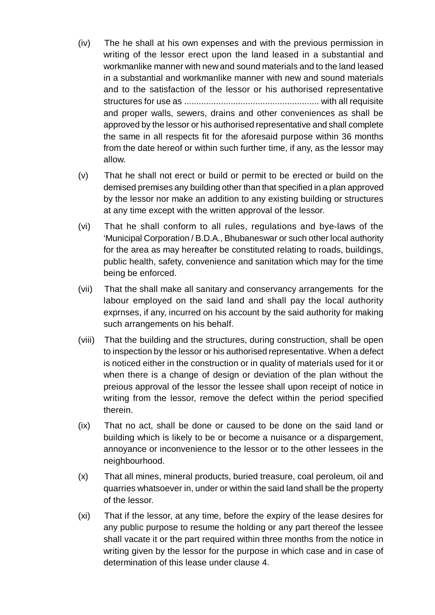- (iv) The he shall at his own expenses and with the previous permission in writing of the lessor erect upon the land leased in a substantial and workmanlike manner with new and sound materials and to the land leased in a substantial and workmanlike manner with new and sound materials and to the satisfaction of the lessor or his authorised representative structures for use as ....................................................... with all requisite and proper walls, sewers, drains and other conveniences as shall be approved by the lessor or his authorised representative and shall complete the same in all respects fit for the aforesaid purpose within 36 months from the date hereof or within such further time, if any, as the lessor may allow.
- (v) That he shall not erect or build or permit to be erected or build on the demised premises any building other than that specified in a plan approved by the lessor nor make an addition to any existing building or structures at any time except with the written approval of the lessor.
- (vi) That he shall conform to all rules, regulations and bye-laws of the 'Municipal Corporation / B.D.A., Bhubaneswar or such other local authority for the area as may hereafter be constituted relating to roads, buildings, public health, safety, convenience and sanitation which may for the time being be enforced.
- (vii) That the shall make all sanitary and conservancy arrangements for the labour employed on the said land and shall pay the local authority exprnses, if any, incurred on his account by the said authority for making such arrangements on his behalf.
- (viii) That the building and the structures, during construction, shall be open to inspection by the lessor or his authorised representative. When a defect is noticed either in the construction or in quality of materials used for it or when there is a change of design or deviation of the plan without the preious approval of the lessor the lessee shall upon receipt of notice in writing from the lessor, remove the defect within the period specified therein.
- (ix) That no act, shall be done or caused to be done on the said land or building which is likely to be or become a nuisance or a dispargement, annoyance or inconvenience to the lessor or to the other lessees in the neighbourhood.
- (x) That all mines, mineral products, buried treasure, coal peroleum, oil and quarries whatsoever in, under or within the said land shall be the property of the lessor.
- (xi) That if the lessor, at any time, before the expiry of the lease desires for any public purpose to resume the holding or any part thereof the lessee shall vacate it or the part required within three months from the notice in writing given by the lessor for the purpose in which case and in case of determination of this lease under clause 4.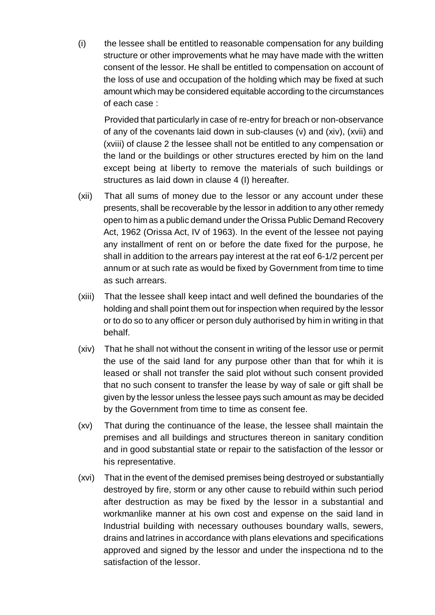(i) the lessee shall be entitled to reasonable compensation for any building structure or other improvements what he may have made with the written consent of the lessor. He shall be entitled to compensation on account of the loss of use and occupation of the holding which may be fixed at such amount which may be considered equitable according to the circumstances of each case :

Provided that particularly in case of re-entry for breach or non-observance of any of the covenants laid down in sub-clauses (v) and (xiv), (xvii) and (xviii) of clause 2 the lessee shall not be entitled to any compensation or the land or the buildings or other structures erected by him on the land except being at liberty to remove the materials of such buildings or structures as laid down in clause 4 (I) hereafter.

- (xii) That all sums of money due to the lessor or any account under these presents, shall be recoverable by the lessor in addition to any other remedy open to him as a public demand under the Orissa Public Demand Recovery Act, 1962 (Orissa Act, IV of 1963). In the event of the lessee not paying any installment of rent on or before the date fixed for the purpose, he shall in addition to the arrears pay interest at the rat eof 6-1/2 percent per annum or at such rate as would be fixed by Government from time to time as such arrears.
- (xiii) That the lessee shall keep intact and well defined the boundaries of the holding and shall point them out for inspection when required by the lessor or to do so to any officer or person duly authorised by him in writing in that behalf.
- (xiv) That he shall not without the consent in writing of the lessor use or permit the use of the said land for any purpose other than that for whih it is leased or shall not transfer the said plot without such consent provided that no such consent to transfer the lease by way of sale or gift shall be given by the lessor unless the lessee pays such amount as may be decided by the Government from time to time as consent fee.
- (xv) That during the continuance of the lease, the lessee shall maintain the premises and all buildings and structures thereon in sanitary condition and in good substantial state or repair to the satisfaction of the lessor or his representative.
- (xvi) That in the event of the demised premises being destroyed or substantially destroyed by fire, storm or any other cause to rebuild within such period after destruction as may be fixed by the lessor in a substantial and workmanlike manner at his own cost and expense on the said land in Industrial building with necessary outhouses boundary walls, sewers, drains and latrines in accordance with plans elevations and specifications approved and signed by the lessor and under the inspectiona nd to the satisfaction of the lessor.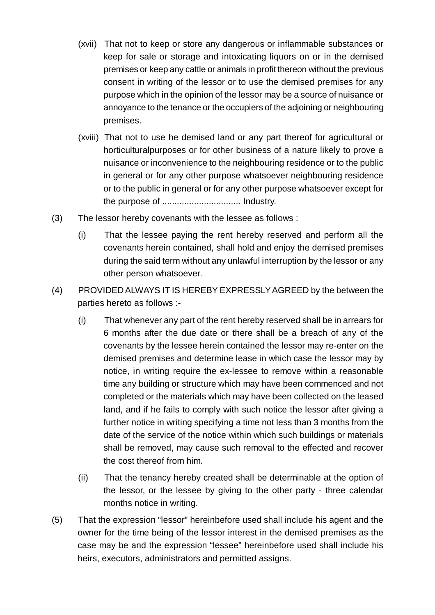- (xvii) That not to keep or store any dangerous or inflammable substances or keep for sale or storage and intoxicating liquors on or in the demised premises or keep any cattle or animals in profit thereon without the previous consent in writing of the lessor or to use the demised premises for any purpose which in the opinion of the lessor may be a source of nuisance or annoyance to the tenance or the occupiers of the adjoining or neighbouring premises.
- (xviii) That not to use he demised land or any part thereof for agricultural or horticulturalpurposes or for other business of a nature likely to prove a nuisance or inconvenience to the neighbouring residence or to the public in general or for any other purpose whatsoever neighbouring residence or to the public in general or for any other purpose whatsoever except for the purpose of ................................ Industry.
- (3) The lessor hereby covenants with the lessee as follows :
	- (i) That the lessee paying the rent hereby reserved and perform all the covenants herein contained, shall hold and enjoy the demised premises during the said term without any unlawful interruption by the lessor or any other person whatsoever.
- (4) PROVIDED ALWAYS IT IS HEREBY EXPRESSLY AGREED by the between the parties hereto as follows :-
	- (i) That whenever any part of the rent hereby reserved shall be in arrears for 6 months after the due date or there shall be a breach of any of the covenants by the lessee herein contained the lessor may re-enter on the demised premises and determine lease in which case the lessor may by notice, in writing require the ex-lessee to remove within a reasonable time any building or structure which may have been commenced and not completed or the materials which may have been collected on the leased land, and if he fails to comply with such notice the lessor after giving a further notice in writing specifying a time not less than 3 months from the date of the service of the notice within which such buildings or materials shall be removed, may cause such removal to the effected and recover the cost thereof from him.
	- (ii) That the tenancy hereby created shall be determinable at the option of the lessor, or the lessee by giving to the other party - three calendar months notice in writing.
- (5) That the expression "lessor" hereinbefore used shall include his agent and the owner for the time being of the lessor interest in the demised premises as the case may be and the expression "lessee" hereinbefore used shall include his heirs, executors, administrators and permitted assigns.